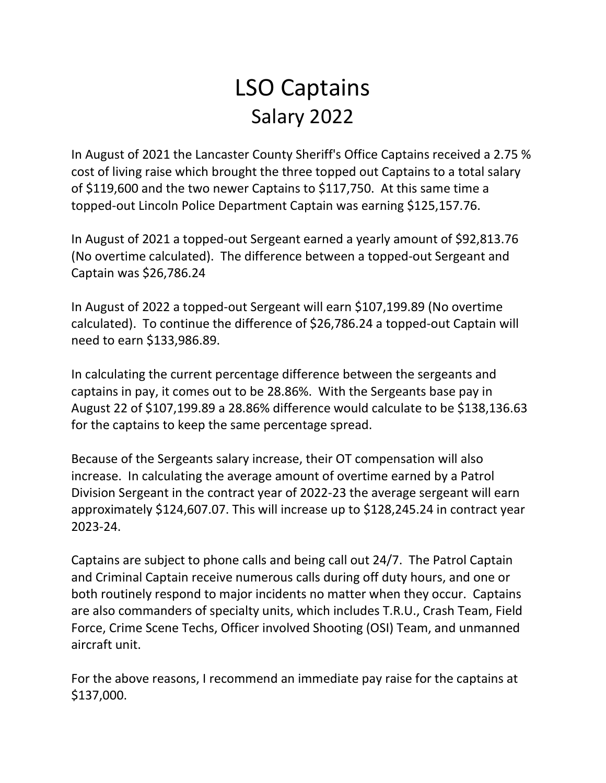# LSO Captains Salary 2022

In August of 2021 the Lancaster County Sheriff's Office Captains received a 2.75 % cost of living raise which brought the three topped out Captains to a total salary of \$119,600 and the two newer Captains to \$117,750. At this same time a topped-out Lincoln Police Department Captain was earning \$125,157.76.

In August of 2021 a topped-out Sergeant earned a yearly amount of \$92,813.76 (No overtime calculated). The difference between a topped-out Sergeant and Captain was \$26,786.24

In August of 2022 a topped-out Sergeant will earn \$107,199.89 (No overtime calculated). To continue the difference of \$26,786.24 a topped-out Captain will need to earn \$133,986.89.

In calculating the current percentage difference between the sergeants and captains in pay, it comes out to be 28.86%. With the Sergeants base pay in August 22 of \$107,199.89 a 28.86% difference would calculate to be \$138,136.63 for the captains to keep the same percentage spread.

Because of the Sergeants salary increase, their OT compensation will also increase. In calculating the average amount of overtime earned by a Patrol Division Sergeant in the contract year of 2022-23 the average sergeant will earn approximately \$124,607.07. This will increase up to \$128,245.24 in contract year 2023-24.

Captains are subject to phone calls and being call out 24/7. The Patrol Captain and Criminal Captain receive numerous calls during off duty hours, and one or both routinely respond to major incidents no matter when they occur. Captains are also commanders of specialty units, which includes T.R.U., Crash Team, Field Force, Crime Scene Techs, Officer involved Shooting (OSI) Team, and unmanned aircraft unit.

For the above reasons, I recommend an immediate pay raise for the captains at \$137,000.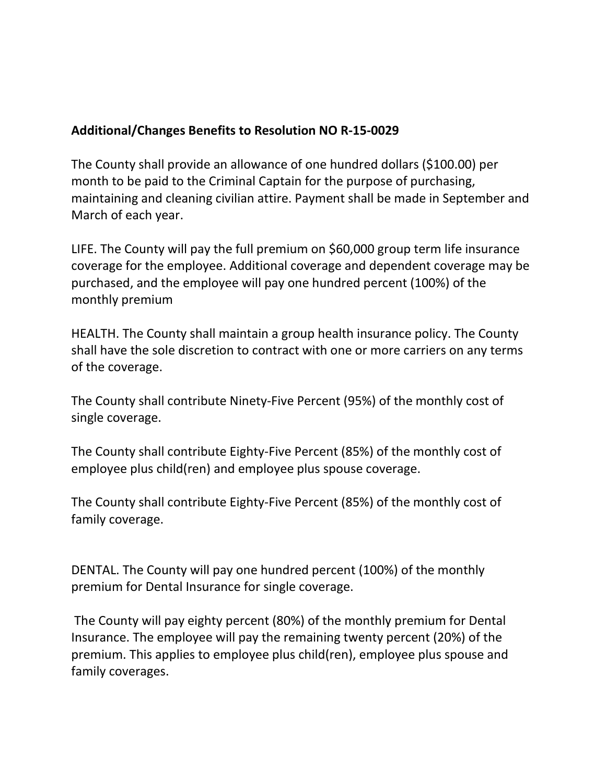# **Additional/Changes Benefits to Resolution NO R-15-0029**

The County shall provide an allowance of one hundred dollars (\$100.00) per month to be paid to the Criminal Captain for the purpose of purchasing, maintaining and cleaning civilian attire. Payment shall be made in September and March of each year.

LIFE. The County will pay the full premium on \$60,000 group term life insurance coverage for the employee. Additional coverage and dependent coverage may be purchased, and the employee will pay one hundred percent (100%) of the monthly premium

HEALTH. The County shall maintain a group health insurance policy. The County shall have the sole discretion to contract with one or more carriers on any terms of the coverage.

The County shall contribute Ninety-Five Percent (95%) of the monthly cost of single coverage.

The County shall contribute Eighty-Five Percent (85%) of the monthly cost of employee plus child(ren) and employee plus spouse coverage.

The County shall contribute Eighty-Five Percent (85%) of the monthly cost of family coverage.

DENTAL. The County will pay one hundred percent (100%) of the monthly premium for Dental Insurance for single coverage.

The County will pay eighty percent (80%) of the monthly premium for Dental Insurance. The employee will pay the remaining twenty percent (20%) of the premium. This applies to employee plus child(ren), employee plus spouse and family coverages.